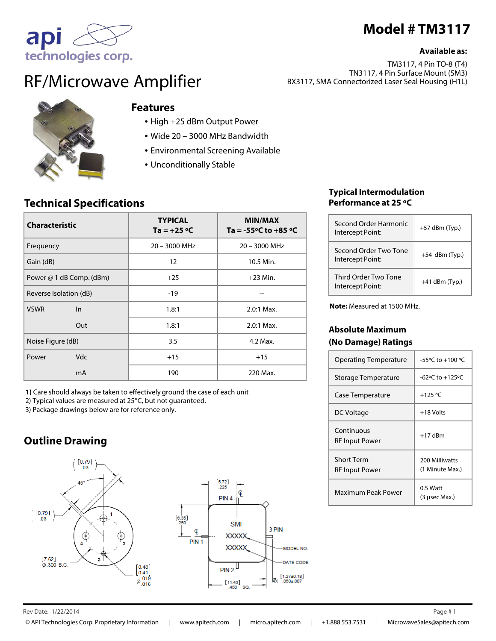# **Model # TM3117**

#### **Available as:**

TM3117, 4 Pin TO-8 (T4) TN3117, 4 Pin Surface Mount (SM3) BX3117, SMA Connectorized Laser Seal Housing (H1L)



RF/Microwave Amplifier

## **Features**

- High +25 dBm Output Power
- Wide 20 3000 MHz Bandwidth
- Environmental Screening Available
- Unconditionally Stable

## **Technical Specifications**

| <b>Characteristic</b>    | <b>TYPICAL</b><br>$Ta = +25 °C$ | <b>MIN/MAX</b><br>Ta = $-55^{\circ}$ C to $+85^{\circ}$ C |
|--------------------------|---------------------------------|-----------------------------------------------------------|
| Frequency                | $20 - 3000$ MHz                 | $20 - 3000$ MHz                                           |
| Gain (dB)                | $12 \overline{ }$               | 10.5 Min.                                                 |
| Power @ 1 dB Comp. (dBm) | $+25$                           | $+23$ Min.                                                |
| Reverse Isolation (dB)   | $-19$                           |                                                           |
| <b>VSWR</b><br>ln        | 1.8:1                           | $2.0:1$ Max.                                              |
| Out                      | 1.8:1                           | $2.0:1$ Max.                                              |
| Noise Figure (dB)        | 3.5                             | 4.2 Max.                                                  |
| <b>Vdc</b><br>Power      | $+15$                           | $+15$                                                     |
| mA                       | 190                             | 220 Max.                                                  |

**1)** Care should always be taken to effectively ground the case of each unit

2) Typical values are measured at 25°C, but not guaranteed.

3) Package drawings below are for reference only.

## **Outline Drawing**





## **Typical Intermodulation Performance at 25 ºC**

| Second Order Harmonic<br>Intercept Point: | $+57$ dBm (Typ.) |
|-------------------------------------------|------------------|
| Second Order Two Tone<br>Intercept Point: | $+54$ dBm (Typ.) |
| Third Order Two Tone<br>Intercept Point:  | $+41$ dBm (Typ.) |

**Note:** Measured at 1500 MHz.

### **Absolute Maximum (No Damage) Ratings**

| <b>Operating Temperature</b>               | $-55^{\circ}$ C to $+100^{\circ}$ C |
|--------------------------------------------|-------------------------------------|
| Storage Temperature                        | $-62$ °C to $+125$ °C               |
| Case Temperature                           | $+125 °C$                           |
| DC Voltage                                 | +18 Volts                           |
| Continuous<br><b>RF Input Power</b>        | $+17$ dBm                           |
| <b>Short Term</b><br><b>RF Input Power</b> | 200 Milliwatts<br>(1 Minute Max.)   |
| Maximum Peak Power                         | $0.5$ Watt<br>(3 usec Max.)         |

#### $\mathsf{Re} \nu$  Date:  $1/22/2014$  Page # 1 1/22/2014 1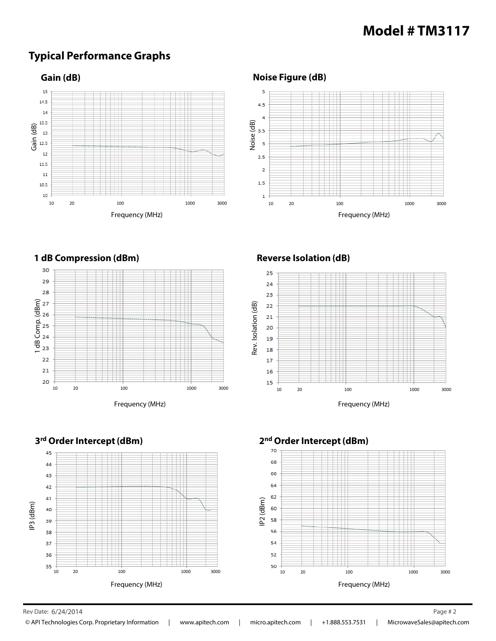# **Model # TM3117**

## **Typical Performance Graphs**



## **Noise Figure (dB)**





#### **Reverse Isolation (dB)**







Rev Date: 6/24/2014 Page # 2